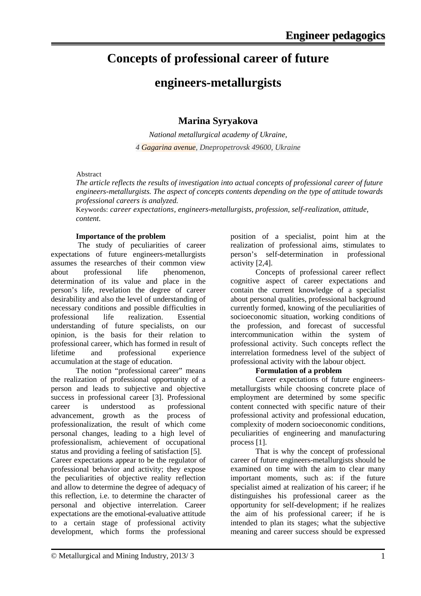## **Concepts of professional career of future**

### **engineers-metallurgists**

### **Marina Syryakova**

*National metallurgical academy of Ukraine, 4 Gagarina avenue, Dnepropetrovsk 49600, Ukraine*

#### Abstract

*The article reflects the results of investigation into actual concepts of professional career of future engineers-metallurgists. The aspect of concepts contents depending on the type of attitude towards professional careers is analyzed.*

Keywords: *career expectations, engineers-metallurgists, profession, self-realization, attitude, content.*

#### **Importance of the problem**

The study of peculiarities of career expectations of future engineers-metallurgists assumes the researches of their common view about professional life phenomenon, determination of its value and place in the person's life, revelation the degree of career desirability and also the level of understanding of necessary conditions and possible difficulties in professional life realization. Essential understanding of future specialists, on our opinion, is the basis for their relation to professional career, which has formed in result of<br>lifetime and professional experience and professional experience accumulation at the stage of education.

The notion "professional career" means the realization of professional opportunity of a person and leads to subjective and objective success in professional career [3]. Professional career is understood as professional advancement, growth as the process of professionalization, the result of which come personal changes, leading to a high level of professionalism, achievement of occupational status and providing a feeling of satisfaction [5]. Career expectations appear to be the regulator of professional behavior and activity; they expose the peculiarities of objective reality reflection and allow to determine the degree of adequacy of this reflection, i.e. to determine the character of personal and objective interrelation. Career expectations are the emotional-evaluative attitude to a certain stage of professional activity development, which forms the professional

position of a specialist, point him at the realization of professional aims, stimulates to person's self-determination in professional activity [2,4].

Concepts of professional career reflect cognitive aspect of career expectations and contain the current knowledge of a specialist about personal qualities, professional background currently formed, knowing of the peculiarities of socioeconomic situation, working conditions of the profession, and forecast of successful intercommunication within the system of professional activity. Such concepts reflect the interrelation formedness level of the subject of professional activity with the labour object.

#### **Formulation of a problem**

Career expectations of future engineersmetallurgists while choosing concrete place of employment are determined by some specific content connected with specific nature of their professional activity and professional education, complexity of modern socioeconomic conditions, peculiarities of engineering and manufacturing process [1].

That is why the concept of professional career of future engineers-metallurgists should be examined on time with the aim to clear many important moments, such as: if the future specialist aimed at realization of his career; if he distinguishes his professional career as the opportunity for self-development; if he realizes the aim of his professional career; if he is intended to plan its stages; what the subjective meaning and career success should be expressed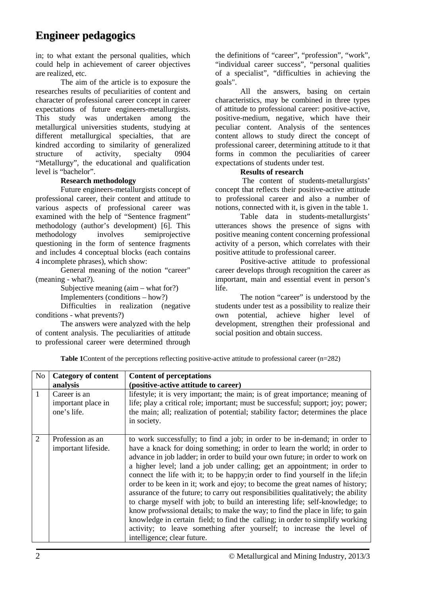in; to what extant the personal qualities, which could help in achievement of career objectives are realized, etc.

The aim of the article is to exposure the researches results of peculiarities of content and character of professional career concept in career expectations of future engineers-metallurgists. This study was undertaken among the metallurgical universities students, studying at different metallurgical specialties, that are kindred according to similarity of generalized structure of activity, specialty 0904 "Metallurgy", the educational and qualification level is "bachelor".

#### **Research methodology**

Future engineers-metallurgists concept of professional career, their content and attitude to various aspects of professional career was examined with the help of "Sentence fragment" methodology (author's development) [6]. This methodology involves semiprojective questioning in the form of sentence fragments and includes 4 conceptual blocks (each contains 4 incomplete phrases), which show:

General meaning of the notion "career" (meaning - what?).

Subjective meaning (aim – what for?)

Implementers (conditions – how?)

Difficulties in realization (negative conditions - what prevents?)

The answers were analyzed with the help of content analysis. The peculiarities of attitude to professional career were determined through

the definitions of "career", "profession", "work", "individual career success", "personal qualities of a specialist", "difficulties in achieving the goals".

All the answers, basing on certain characteristics, may be combined in three types of attitude to professional career: positive-active, positive-medium, negative, which have their peculiar content. Analysis of the sentences content allows to study direct the concept of professional career, determining attitude to it that forms in common the peculiarities of career expectations of students under test.

#### **Results of research**

The content of students-metallurgists' concept that reflects their positive-active attitude to professional career and also a number of notions, connected with it, is given in the table 1.

Table data in students-metallurgists' utterances shows the presence of signs with positive meaning content concerning professional activity of a person, which correlates with their positive attitude to professional career.

Positive-active attitude to professional career develops through recognition the career as important, main and essential event in person's life.

The notion "career" is understood by the students under test as a possibility to realize their own potential, achieve higher level of development, strengthen their professional and social position and obtain success.

**Table 1**Content of the perceptions reflecting positive-active attitude to professional career (n=282)

| N <sub>o</sub> | <b>Category of content</b>                        | <b>Content of perceptations</b>                                                                                                                                                                                                                                                                                                                                                                                                                                                                                                                                                                                                                                                                                                                                                                                                                                                                                                           |
|----------------|---------------------------------------------------|-------------------------------------------------------------------------------------------------------------------------------------------------------------------------------------------------------------------------------------------------------------------------------------------------------------------------------------------------------------------------------------------------------------------------------------------------------------------------------------------------------------------------------------------------------------------------------------------------------------------------------------------------------------------------------------------------------------------------------------------------------------------------------------------------------------------------------------------------------------------------------------------------------------------------------------------|
|                | analysis                                          | (positive-active attitude to career)                                                                                                                                                                                                                                                                                                                                                                                                                                                                                                                                                                                                                                                                                                                                                                                                                                                                                                      |
| $\mathbf{1}$   | Career is an<br>important place in<br>one's life. | lifestyle; it is very important; the main; is of great importance; meaning of<br>life; play a critical role; important; must be successful; support; joy; power;<br>the main; all; realization of potential; stability factor; determines the place<br>in society.                                                                                                                                                                                                                                                                                                                                                                                                                                                                                                                                                                                                                                                                        |
| 2              | Profession as an<br>important lifeside.           | to work successfully; to find a job; in order to be in-demand; in order to<br>have a knack for doing something; in order to learn the world; in order to<br>advance in job ladder; in order to build your own future; in order to work on<br>a higher level; land a job under calling; get an appointment; in order to<br>connect the life with it; to be happy; in order to find yourself in the life; in<br>order to be keen in it; work and ejoy; to become the great names of history;<br>assurance of the future; to carry out responsibilities qualitatively; the ability<br>to charge myself with job; to build an interesting life; self-knowledge; to<br>know profwssional details; to make the way; to find the place in life; to gain<br>knowledge in certain field; to find the calling; in order to simplify working<br>activity; to leave something after yourself; to increase the level of<br>intelligence; clear future. |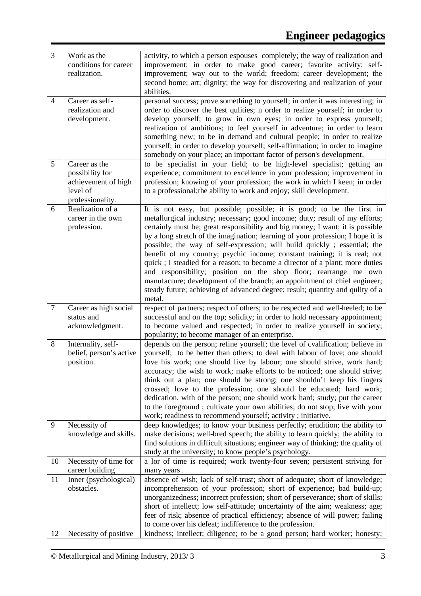| $\mathfrak{Z}$ | Work as the<br>conditions for career<br>realization.                                    | activity, to which a person espouses completely; the way of realization and<br>improvement; in order to make good career; favorite activity; self-<br>improvement; way out to the world; freedom; career development; the<br>second home; art; dignity; the way for discovering and realization of your<br>abilities.                                                                                                                                                                                                                                                                                                                                                                                                                                                                                          |
|----------------|-----------------------------------------------------------------------------------------|----------------------------------------------------------------------------------------------------------------------------------------------------------------------------------------------------------------------------------------------------------------------------------------------------------------------------------------------------------------------------------------------------------------------------------------------------------------------------------------------------------------------------------------------------------------------------------------------------------------------------------------------------------------------------------------------------------------------------------------------------------------------------------------------------------------|
| $\overline{4}$ | Career as self-<br>realization and<br>development.                                      | personal success; prove something to yourself; in order it was interesting; in<br>order to discover the best qulities; n order to realize yourself; in order to<br>develop yourself; to grow in own eyes; in order to express yourself;<br>realization of ambitions; to feel yourself in adventure; in order to learn<br>something new; to be in demand and cultural people; in order to realize<br>yourself; in order to develop yourself; self-affirmation; in order to imagine<br>somebody on your place; an important factor of person's development.                                                                                                                                                                                                                                                      |
| 5              | Career as the<br>possibility for<br>achievement of high<br>level of<br>professionality. | to be specialist in your field; to be high-level specialist; getting an<br>experience; commitment to excellence in your profession; improvement in<br>profession; knowing of your profession; the work in which I keen; in order<br>to a professional; the ability to work and enjoy; skill development.                                                                                                                                                                                                                                                                                                                                                                                                                                                                                                       |
| 6              | Realization of a<br>career in the own<br>profession.                                    | It is not easy, but possible; possible; it is good; to be the first in<br>metallurgical industry; necessary; good income; duty; result of my efforts;<br>certainly must be; great responsibility and big money; I want; it is possible<br>by a long stretch of the imagination; learning of your profession; I hope it is<br>possible; the way of self-expression; will build quickly; essential; the<br>benefit of my country; psychic income; constant training; it is real; not<br>quick; I steadied for a reason; to become a director of a plant; more duties<br>and responsibility; position on the shop floor; rearrange me own<br>manufacture; development of the branch; an appointment of chief engineer;<br>steady future; achieving of advanced degree; result; quantity and qulity of a<br>metal. |
| $\tau$         | Career as high social<br>status and<br>acknowledgment.                                  | respect of partners; respect of others; to be respected and well-heeled; to be<br>successful and on the top; solidity; in order to hold necessary appointment;<br>to become valued and respected; in order to realize yourself in society;<br>popularity; to become manager of an enterprise.                                                                                                                                                                                                                                                                                                                                                                                                                                                                                                                  |
| 8              | Internality, self-<br>belief, person's active<br>position.                              | depends on the person; refine yourself; the level of cvalification; believe in<br>yourself; to be better than others; to deal with labour of love; one should<br>love his work; one should live by labour; one should strive, work hard;<br>accuracy; the wish to work; make efforts to be noticed; one should strive;<br>think out a plan; one should be strong; one shouldn't keep his fingers<br>crossed; love to the profession; one should be educated; hard work;<br>dedication, with of the person; one should work hard; study; put the career<br>to the foreground; cultivate your own abilities; do not stop; live with your<br>work; readiness to recommend yourself; activity; initiative.                                                                                                         |
| 9              | Necessity of<br>knowledge and skills.                                                   | deep knowledges; to know your business perfectly; erudition; the ability to<br>make decisions; well-bred speech; the ability to learn quickly; the ability to<br>find solutions in difficult situations; engineer way of thinking; the quality of<br>study at the university; to know people's psychology.                                                                                                                                                                                                                                                                                                                                                                                                                                                                                                     |
| 10             | Necessity of time for<br>career building                                                | a lor of time is required; work twenty-four seven; persistent striving for<br>many years.                                                                                                                                                                                                                                                                                                                                                                                                                                                                                                                                                                                                                                                                                                                      |
| 11             | Inner (psychological)<br>obstacles.                                                     | absence of wish; lack of self-trust; short of adequate; short of knowledge;<br>incomprehension of your profession; short of experience; bad build-up;<br>unorganizedness; incorrect profession; short of perseverance; short of skills;<br>short of intellect; low self-attitude; uncertainty of the aim; weakness; age;<br>feer of risk; absence of practical efficiency; absence of will power; failing<br>to come over his defeat; indifference to the profession.                                                                                                                                                                                                                                                                                                                                          |
| 12             | Necessity of positive                                                                   | kindness; intellect; diligence; to be a good person; hard worker; honesty;                                                                                                                                                                                                                                                                                                                                                                                                                                                                                                                                                                                                                                                                                                                                     |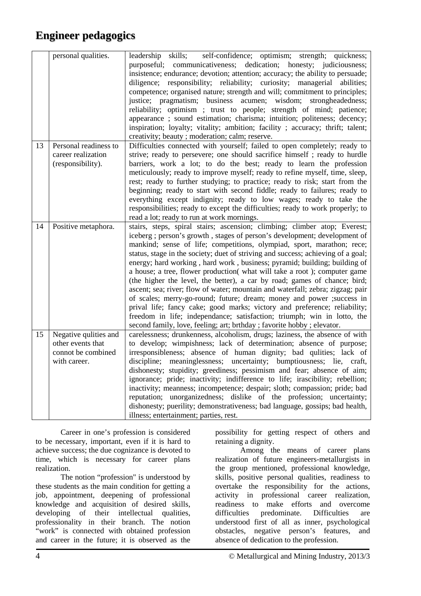|    | personal qualities.                                                              | self-confidence; optimism; strength; quickness;<br>leadership skills;<br>purposeful; communicativeness; dedication; honesty; judiciousness;<br>insistence; endurance; devotion; attention; accuracy; the ability to persuade;<br>diligence; responsibility; reliability; curiosity; managerial abilities;<br>competence; organised nature; strength and will; commitment to principles;<br>justice; pragmatism; business acumen; wisdom; strongheadedness;<br>reliability; optimism ; trust to people; strength of mind; patience;<br>appearance; sound estimation; charisma; intuition; politeness; decency;<br>inspiration; loyalty; vitality; ambition; facility; accuracy; thrift; talent;<br>creativity; beauty ; moderation; calm; reserve.                                                                                                                                                                                                      |
|----|----------------------------------------------------------------------------------|--------------------------------------------------------------------------------------------------------------------------------------------------------------------------------------------------------------------------------------------------------------------------------------------------------------------------------------------------------------------------------------------------------------------------------------------------------------------------------------------------------------------------------------------------------------------------------------------------------------------------------------------------------------------------------------------------------------------------------------------------------------------------------------------------------------------------------------------------------------------------------------------------------------------------------------------------------|
| 13 | Personal readiness to<br>career realization<br>(responsibility).                 | Difficulties connected with yourself; failed to open completely; ready to<br>strive; ready to persevere; one should sacrifice himself; ready to hurdle<br>barriers, work a lot; to do the best; ready to learn the profession<br>meticulously; ready to improve myself; ready to refine myself, time, sleep,<br>rest; ready to further studying; to practice; ready to risk; start from the<br>beginning; ready to start with second fiddle; ready to failures; ready to<br>everything except indignity; ready to low wages; ready to take the<br>responsibilities; ready to except the difficulties; ready to work properly; to<br>read a lot; ready to run at work mornings.                                                                                                                                                                                                                                                                         |
| 14 | Positive metaphora.                                                              | stairs, steps, spiral stairs; ascension; climbing; climber atop; Everest;<br>iceberg; person's growth, stages of person's development; development of<br>mankind; sense of life; competitions, olympiad, sport, marathon; rece;<br>status, stage in the society; duet of striving and success; achieving of a goal;<br>energy; hard working, hard work, business; pyramid; building; building of<br>a house; a tree, flower production(what will take a root); computer game<br>(the higher the level, the better), a car by road; games of chance; bird;<br>ascent; sea; river; flow of water; mountain and waterfall; zebra; zigzag; pair<br>of scales; merry-go-round; future; dream; money and power ; success in<br>prival life; fancy cake; good marks; victory and preference; reliability;<br>freedom in life; independance; satisfaction; triumph; win in lotto, the<br>second family, love, feeling; art; brthday; favorite hobby; elevator. |
| 15 | Negative qulities and<br>other events that<br>connot be combined<br>with career. | carelessness; drunkenness, alcoholism, drugs; laziness, the absence of with<br>to develop; wimpishness; lack of determination; absence of purpose;<br>irresponsibleness; absence of human dignity; bad qulities; lack of<br>discipline; meaninglessness; uncertainty; bumptiousness; lie, craft,<br>dishonesty; stupidity; greediness; pessimism and fear; absence of aim;<br>ignorance; pride; inactivity; indifference to life; irascibility; rebellion;<br>inactivity; meanness; incompetence; despair; sloth; compassion; pride; bad<br>reputation; unorganizedness; dislike of the profession; uncertainty;<br>dishonesty; puerility; demonstrativeness; bad language, gossips; bad health,<br>illness; entertainment; parties, rest.                                                                                                                                                                                                             |

Career in one's profession is considered to be necessary, important, even if it is hard to achieve success; the due cognizance is devoted to time, which is necessary for career plans realization.

The notion "profession" is understood by these students as the main condition for getting a job, appointment, deepening of professional knowledge and acquisition of desired skills, developing of their intellectual qualities, professionality in their branch. The notion "work" is connected with obtained profession and career in the future; it is observed as the

possibility for getting respect of others and retaining a dignity.

Among the means of career plans realization of future engineers-metallurgists in the group mentioned, professional knowledge, skills, positive personal qualities, readiness to overtake the responsibility for the actions, activity in professional career realization, readiness to make efforts and overcome difficulties predominate. Difficulties are understood first of all as inner, psychological obstacles, negative person's features, and absence of dedication to the profession.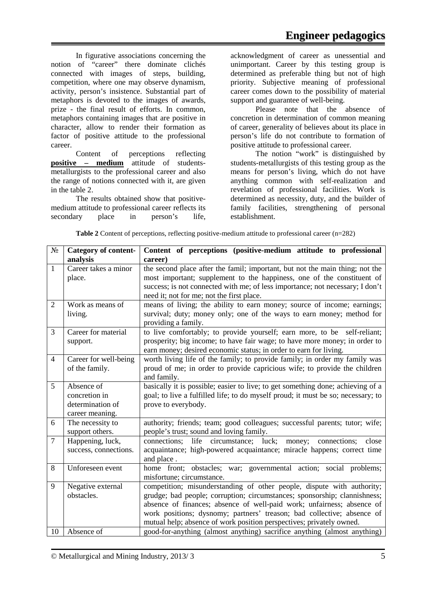In figurative associations concerning the notion of "career" there dominate clichés connected with images of steps, building, competition, where one may observe dynamism, activity, person's insistence. Substantial part of metaphors is devoted to the images of awards, prize - the final result of efforts. In common, metaphors containing images that are positive in character, allow to render their formation as factor of positive attitude to the professional career.

Content of perceptions reflecting **positive – medium** attitude of studentsmetallurgists to the professional career and also the range of notions connected with it, are given in the table 2.

The results obtained show that positivemedium attitude to professional career reflects its secondary place in person's life, acknowledgment of career as unessential and unimportant. Career by this testing group is determined as preferable thing but not of high priority. Subjective meaning of professional career comes down to the possibility of material support and guarantee of well-being.

Please note that the absence of concretion in determination of common meaning of career, generality of believes about its place in person's life do not contribute to formation of positive attitude to professional career.

The notion "work" is distinguished by students-metallurgists of this testing group as the means for person's living, which do not have anything common with self-realization and revelation of professional facilities. Work is determined as necessity, duty, and the builder of family facilities, strengthening of personal establishment.

| N <sub>2</sub> | <b>Category of content-</b> | Content of perceptions (positive-medium attitude to professional                 |
|----------------|-----------------------------|----------------------------------------------------------------------------------|
|                | analysis                    | career)                                                                          |
| $\mathbf{1}$   | Career takes a minor        | the second place after the famil; important, but not the main thing; not the     |
|                | place.                      | most important; supplement to the happiness, one of the constituent of           |
|                |                             | success; is not connected with me; of less importance; not necessary; I don't    |
|                |                             | need it; not for me; not the first place.                                        |
| $\overline{2}$ | Work as means of            | means of living; the ability to earn money; source of income; earnings;          |
|                | living.                     | survival; duty; money only; one of the ways to earn money; method for            |
|                |                             | providing a family.                                                              |
| 3              | Career for material         | to live comfortably; to provide yourself; earn more, to be self-reliant;         |
|                | support.                    | prosperity; big income; to have fair wage; to have more money; in order to       |
|                |                             | earn money; desired economic status; in order to earn for living.                |
| $\overline{4}$ | Career for well-being       | worth living life of the family; to provide family; in order my family was       |
|                | of the family.              | proud of me; in order to provide capricious wife; to provide the children        |
|                |                             | and family.                                                                      |
| 5              | Absence of                  | basically it is possible; easier to live; to get something done; achieving of a  |
|                | concretion in               | goal; to live a fulfilled life; to do myself proud; it must be so; necessary; to |
|                | determination of            | prove to everybody.                                                              |
|                | career meaning.             |                                                                                  |
| 6              | The necessity to            | authority; friends; team; good colleagues; successful parents; tutor; wife;      |
|                | support others.             | people's trust; sound and loving family.                                         |
| $\overline{7}$ | Happening, luck,            | life<br>circumstance; luck;<br>connections;<br>connections;<br>close<br>money;   |
|                | success, connections.       | acquaintance; high-powered acquaintance; miracle happens; correct time           |
|                |                             | and place.                                                                       |
| 8              | Unforeseen event            | home front; obstacles; war; governmental action; social problems;                |
|                |                             | misfortune; circumstance.                                                        |
| 9              | Negative external           | competition; misunderstanding of other people, dispute with authority;           |
|                | obstacles.                  | grudge; bad people; corruption; circumstances; sponsorship; clannishness;        |
|                |                             | absence of finances; absence of well-paid work; unfairness; absence of           |
|                |                             | work positions; dysnomy; partners' treason; bad collective; absence of           |
|                |                             | mutual help; absence of work position perspectives; privately owned.             |
| 10             | Absence of                  | good-for-anything (almost anything) sacrifice anything (almost anything)         |

**Table 2** Content of perceptions, reflecting positive-medium attitude to professional career (n=282)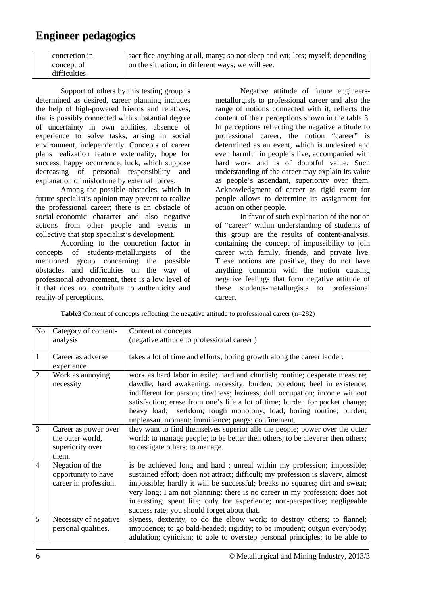| concretion in | sacrifice anything at all, many; so not sleep and eat; lots; myself; depending |
|---------------|--------------------------------------------------------------------------------|
| concept of    | on the situation; in different ways; we will see.                              |
| difficulties. |                                                                                |

Support of others by this testing group is determined as desired, career planning includes the help of high-powered friends and relatives, that is possibly connected with substantial degree of uncertainty in own abilities, absence of experience to solve tasks, arising in social environment, independently. Concepts of career plans realization feature externality, hope for success, happy occurrence, luck, which suppose decreasing of personal responsibility and explanation of misfortune by external forces.

Among the possible obstacles, which in future specialist's opinion may prevent to realize the professional career; there is an obstacle of social-economic character and also negative actions from other people and events in collective that stop specialist's development.

According to the concretion factor in concepts of students-metallurgists of the mentioned group concerning the possible obstacles and difficulties on the way of professional advancement, there is a low level of it that does not contribute to authenticity and reality of perceptions.

Negative attitude of future engineersmetallurgists to professional career and also the range of notions connected with it, reflects the content of their perceptions shown in the table 3. In perceptions reflecting the negative attitude to professional career, the notion "career" is determined as an event, which is undesired and even harmful in people's live, accompanied with hard work and is of doubtful value. Such understanding of the career may explain its value as people's ascendant, superiority over them. Acknowledgment of career as rigid event for people allows to determine its assignment for action on other people.

In favor of such explanation of the notion of "career" within understanding of students of this group are the results of content-analysis, containing the concept of impossibility to join career with family, friends, and private live. These notions are positive, they do not have anything common with the notion causing negative feelings that form negative attitude of these students-metallurgists to professional career.

| No             | Category of content-                                                  | Content of concepts                                                                                                                                                                                                                                                                                                                                                                                                                                   |
|----------------|-----------------------------------------------------------------------|-------------------------------------------------------------------------------------------------------------------------------------------------------------------------------------------------------------------------------------------------------------------------------------------------------------------------------------------------------------------------------------------------------------------------------------------------------|
|                | analysis                                                              | (negative attitude to professional career)                                                                                                                                                                                                                                                                                                                                                                                                            |
| 1              | Career as adverse<br>experience                                       | takes a lot of time and efforts; boring growth along the career ladder.                                                                                                                                                                                                                                                                                                                                                                               |
| $\overline{2}$ | Work as annoying<br>necessity                                         | work as hard labor in exile; hard and churlish; routine; desperate measure;<br>dawdle; hard awakening; necessity; burden; boredom; heel in existence;<br>indifferent for person; tiredness; laziness; dull occupation; income without<br>satisfaction; erase from one's life a lot of time; burden for pocket change;<br>heavy load; serfdom; rough monotony; load; boring routine; burden;<br>unpleasant moment; imminence; pangs; confinement.      |
| $\overline{3}$ | Career as power over<br>the outer world,<br>superiority over<br>them. | they want to find themselves superior alle the people; power over the outer<br>world; to manage people; to be better then others; to be cleverer then others;<br>to castigate others; to manage.                                                                                                                                                                                                                                                      |
| $\overline{4}$ | Negation of the<br>opportunity to have<br>career in profession.       | is be achieved long and hard; unreal within my profession; impossible;<br>sustained effort; doen not attract; difficult; my profession is slavery, almost<br>impossible; hardly it will be successful; breaks no squares; dirt and sweat;<br>very long; I am not planning; there is no career in my profession; does not<br>interesting; spent life; only for experience; non-perspective; negligeable<br>success rate; you should forget about that. |
| 5              | Necessity of negative<br>personal qualities.                          | slyness, dexterity, to do the elbow work; to destroy others; to flannel;<br>impudence; to go bald-headed; rigidity; to be impudent; outgun everybody;<br>adulation; cynicism; to able to overstep personal principles; to be able to                                                                                                                                                                                                                  |

**Table3** Content of concepts reflecting the negative attitude to professional career (n=282)